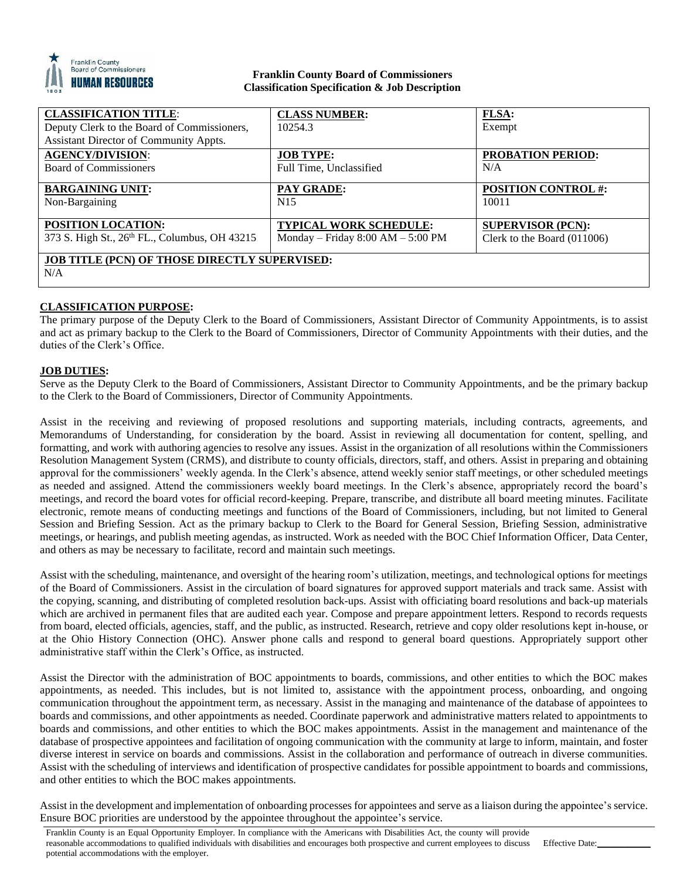

## **Franklin County Board of Commissioners Classification Specification & Job Description**

| <b>CLASSIFICATION TITLE:</b>                         | <b>CLASS NUMBER:</b>                | <b>FLSA:</b>                  |
|------------------------------------------------------|-------------------------------------|-------------------------------|
| Deputy Clerk to the Board of Commissioners,          | 10254.3                             | Exempt                        |
| Assistant Director of Community Appts.               |                                     |                               |
| <b>AGENCY/DIVISION:</b>                              | <b>JOB TYPE:</b>                    | <b>PROBATION PERIOD:</b>      |
| <b>Board of Commissioners</b>                        | Full Time, Unclassified             | N/A                           |
|                                                      |                                     |                               |
| <b>BARGAINING UNIT:</b>                              | PAY GRADE:                          | <b>POSITION CONTROL #:</b>    |
| Non-Bargaining                                       | N <sub>15</sub>                     | 10011                         |
|                                                      |                                     |                               |
| <b>POSITION LOCATION:</b>                            | <b>TYPICAL WORK SCHEDULE:</b>       | <b>SUPERVISOR (PCN):</b>      |
| 373 S. High St., 26th FL., Columbus, OH 43215        | Monday – Friday $8:00 AM - 5:00 PM$ | Clerk to the Board $(011006)$ |
|                                                      |                                     |                               |
| <b>JOB TITLE (PCN) OF THOSE DIRECTLY SUPERVISED:</b> |                                     |                               |
| N/A                                                  |                                     |                               |
|                                                      |                                     |                               |

# **CLASSIFICATION PURPOSE:**

The primary purpose of the Deputy Clerk to the Board of Commissioners, Assistant Director of Community Appointments, is to assist and act as primary backup to the Clerk to the Board of Commissioners, Director of Community Appointments with their duties, and the duties of the Clerk's Office.

# **JOB DUTIES:**

Serve as the Deputy Clerk to the Board of Commissioners, Assistant Director to Community Appointments, and be the primary backup to the Clerk to the Board of Commissioners, Director of Community Appointments.

Assist in the receiving and reviewing of proposed resolutions and supporting materials, including contracts, agreements, and Memorandums of Understanding, for consideration by the board. Assist in reviewing all documentation for content, spelling, and formatting, and work with authoring agencies to resolve any issues. Assist in the organization of all resolutions within the Commissioners Resolution Management System (CRMS), and distribute to county officials, directors, staff, and others. Assist in preparing and obtaining approval for the commissioners' weekly agenda. In the Clerk's absence, attend weekly senior staff meetings, or other scheduled meetings as needed and assigned. Attend the commissioners weekly board meetings. In the Clerk's absence, appropriately record the board's meetings, and record the board votes for official record-keeping. Prepare, transcribe, and distribute all board meeting minutes. Facilitate electronic, remote means of conducting meetings and functions of the Board of Commissioners, including, but not limited to General Session and Briefing Session. Act as the primary backup to Clerk to the Board for General Session, Briefing Session, administrative meetings, or hearings, and publish meeting agendas, as instructed. Work as needed with the BOC Chief Information Officer, Data Center, and others as may be necessary to facilitate, record and maintain such meetings.

Assist with the scheduling, maintenance, and oversight of the hearing room's utilization, meetings, and technological options for meetings of the Board of Commissioners. Assist in the circulation of board signatures for approved support materials and track same. Assist with the copying, scanning, and distributing of completed resolution back-ups. Assist with officiating board resolutions and back-up materials which are archived in permanent files that are audited each year. Compose and prepare appointment letters. Respond to records requests from board, elected officials, agencies, staff, and the public, as instructed. Research, retrieve and copy older resolutions kept in-house, or at the Ohio History Connection (OHC). Answer phone calls and respond to general board questions. Appropriately support other administrative staff within the Clerk's Office, as instructed.

Assist the Director with the administration of BOC appointments to boards, commissions, and other entities to which the BOC makes appointments, as needed. This includes, but is not limited to, assistance with the appointment process, onboarding, and ongoing communication throughout the appointment term, as necessary. Assist in the managing and maintenance of the database of appointees to boards and commissions, and other appointments as needed. Coordinate paperwork and administrative matters related to appointments to boards and commissions, and other entities to which the BOC makes appointments. Assist in the management and maintenance of the database of prospective appointees and facilitation of ongoing communication with the community at large to inform, maintain, and foster diverse interest in service on boards and commissions. Assist in the collaboration and performance of outreach in diverse communities. Assist with the scheduling of interviews and identification of prospective candidates for possible appointment to boards and commissions, and other entities to which the BOC makes appointments.

Assist in the development and implementation of onboarding processes for appointees and serve as a liaison during the appointee's service. Ensure BOC priorities are understood by the appointee throughout the appointee's service.